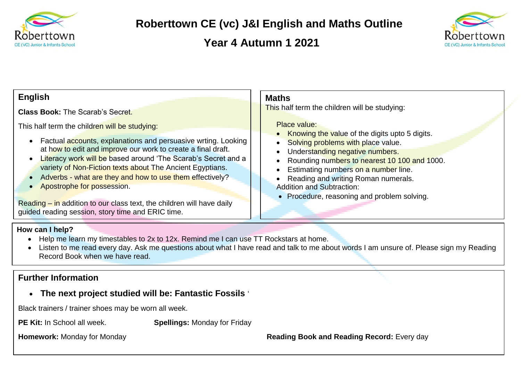

# **Roberttown CE (vc) J&I English and Maths Outline**

## **Year 4 Autumn 1 2021**



#### **Maths** This half term the children will be studying: Place value: Knowing the value of the digits upto 5 digits. Solving problems with place value. Understanding negative numbers. Rounding numbers to nearest 10 100 and 1000. Estimating numbers on a number line. Reading and writing Roman numerals. Addition and Subtraction: • Procedure, reasoning and problem solving. **English Class Book:** The Scarab's Secret. This half term the children will be studying: • Factual accounts, explanations and persuasive wrting. Looking at how to edit and improve our work to create a final draft. • Literacy work will be based around 'The Scarab's Secret and a variety of Non-Fiction texts about The Ancient Egyptians. • Adverbs - what are they and how to use them effectively? • Apostrophe for possession. Reading – in addition to our class text, the children will have daily

### **How can I help?**

- Help me learn my timestables to 2x to 12x. Remind me I can use TT Rockstars at home.
- Listen to me read every day. Ask me questions about what I have read and talk to me about words I am unsure of. Please sign my Reading Record Book when we have read.

## **Further Information**

### **The next project studied will be: Fantastic Fossils** '

Black trainers / trainer shoes may be worn all week.

guided reading session, story time and ERIC time.

**PE Kit:** In School all week. **Spellings:** Monday for Friday

**Homework:** Monday for Monday **Reading Book and Reading Record:** Every day